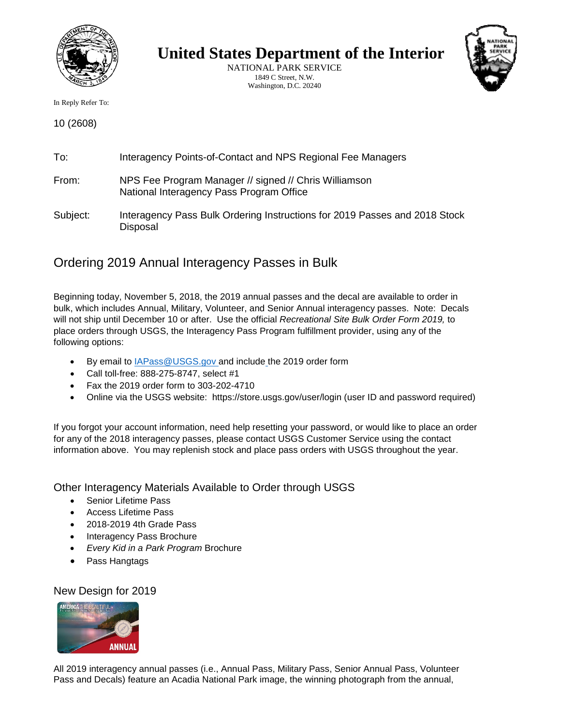

**United States Department of the Interior**

NATIONAL PARK SERVICE 1849 C Street, N.W. Washington, D.C. 20240



In Reply Refer To:

10 (2608)

| To:      | Interagency Points-of-Contact and NPS Regional Fee Managers                                       |
|----------|---------------------------------------------------------------------------------------------------|
| From:    | NPS Fee Program Manager // signed // Chris Williamson<br>National Interagency Pass Program Office |
| Subject: | Interagency Pass Bulk Ordering Instructions for 2019 Passes and 2018 Stock<br>Disposal            |

# Ordering 2019 Annual Interagency Passes in Bulk

Beginning today, November 5, 2018, the 2019 annual passes and the decal are available to order in bulk, which includes Annual, Military, Volunteer, and Senior Annual interagency passes. Note: Decals will not ship until December 10 or after. Use the official *Recreational Site Bulk Order Form 2019,* to place orders through USGS, the Interagency Pass Program fulfillment provider, using any of the following options:

- By email to **IAPass@USGS.gov** and include the 2019 order form
- Call toll-free: 888-275-8747, select #1
- Fax the 2019 order form to 303-202-4710
- Online via the USGS website: https://store.usgs.gov/user/login (user ID and password required)

If you forgot your account information, need help resetting your password, or would like to place an order for any of the 2018 interagency passes, please contact USGS Customer Service using the contact information above. You may replenish stock and place pass orders with USGS throughout the year.

Other Interagency Materials Available to Order through USGS

- Senior Lifetime Pass
- Access Lifetime Pass
- 2018-2019 4th Grade Pass
- Interagency Pass Brochure
- *Every Kid in a Park Program* Brochure
- Pass Hangtags

New Design for 2019



All 2019 interagency annual passes (i.e., Annual Pass, Military Pass, Senior Annual Pass, Volunteer Pass and Decals) feature an Acadia National Park image, the winning photograph from the annual,